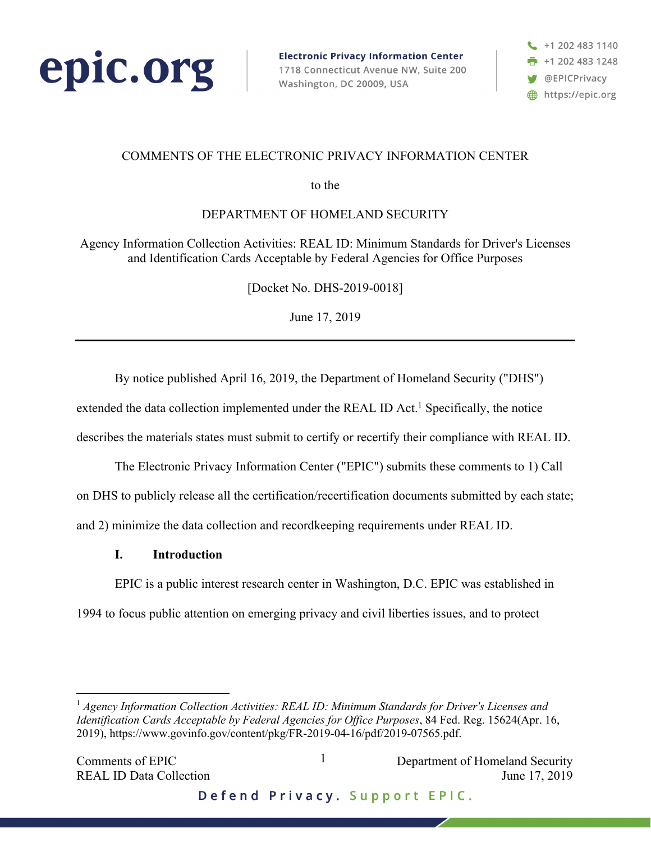

**Electronic Privacy Information Center** 1718 Connecticut Avenue NW, Suite 200 Washington, DC 20009, USA

+1 202 483 1140  $+12024831248$ @EPICPrivacy https://epic.org

# COMMENTS OF THE ELECTRONIC PRIVACY INFORMATION CENTER

to the

DEPARTMENT OF HOMELAND SECURITY

Agency Information Collection Activities: REAL ID: Minimum Standards for Driver's Licenses and Identification Cards Acceptable by Federal Agencies for Office Purposes

[Docket No. DHS-2019-0018]

June 17, 2019

By notice published April 16, 2019, the Department of Homeland Security ("DHS")

extended the data collection implemented under the REAL ID Act.<sup>1</sup> Specifically, the notice

describes the materials states must submit to certify or recertify their compliance with REAL ID.

The Electronic Privacy Information Center ("EPIC") submits these comments to 1) Call on DHS to publicly release all the certification/recertification documents submitted by each state; and 2) minimize the data collection and recordkeeping requirements under REAL ID.

## **I. Introduction**

EPIC is a public interest research center in Washington, D.C. EPIC was established in 1994 to focus public attention on emerging privacy and civil liberties issues, and to protect

 1 *Agency Information Collection Activities: REAL ID: Minimum Standards for Driver's Licenses and Identification Cards Acceptable by Federal Agencies for Office Purposes*, 84 Fed. Reg. 15624(Apr. 16, 2019), https://www.govinfo.gov/content/pkg/FR-2019-04-16/pdf/2019-07565.pdf.

1

Defend Privacy. Support EPIC.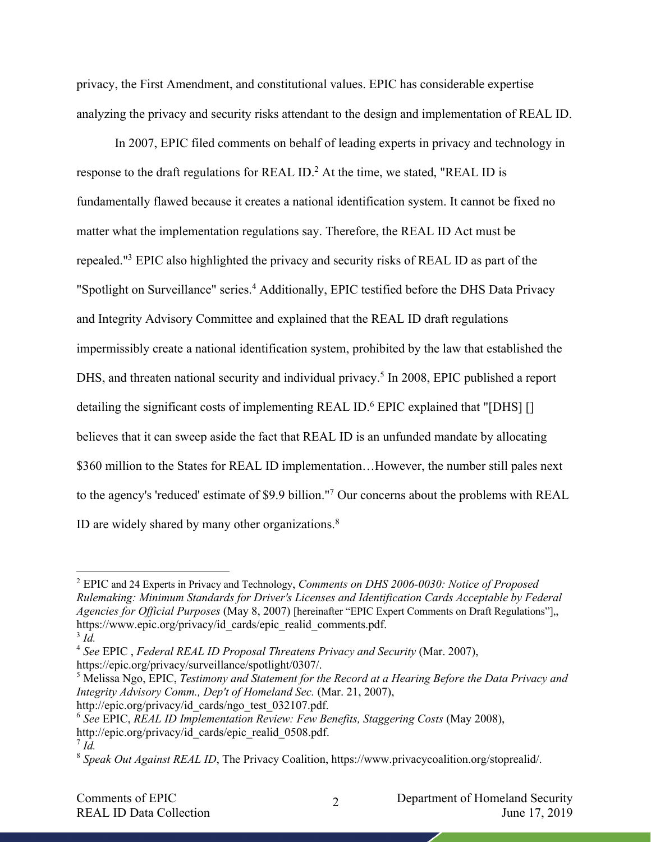privacy, the First Amendment, and constitutional values. EPIC has considerable expertise analyzing the privacy and security risks attendant to the design and implementation of REAL ID.

In 2007, EPIC filed comments on behalf of leading experts in privacy and technology in response to the draft regulations for REAL ID.<sup>2</sup> At the time, we stated, "REAL ID is fundamentally flawed because it creates a national identification system. It cannot be fixed no matter what the implementation regulations say. Therefore, the REAL ID Act must be repealed."3 EPIC also highlighted the privacy and security risks of REAL ID as part of the "Spotlight on Surveillance" series.<sup>4</sup> Additionally, EPIC testified before the DHS Data Privacy and Integrity Advisory Committee and explained that the REAL ID draft regulations impermissibly create a national identification system, prohibited by the law that established the DHS, and threaten national security and individual privacy.<sup>5</sup> In 2008, EPIC published a report detailing the significant costs of implementing REAL ID.<sup>6</sup> EPIC explained that "[DHS] [] believes that it can sweep aside the fact that REAL ID is an unfunded mandate by allocating \$360 million to the States for REAL ID implementation...However, the number still pales next to the agency's 'reduced' estimate of \$9.9 billion."7 Our concerns about the problems with REAL ID are widely shared by many other organizations.<sup>8</sup>

<sup>5</sup> Melissa Ngo, EPIC, *Testimony and Statement for the Record at a Hearing Before the Data Privacy and Integrity Advisory Comm., Dep't of Homeland Sec.* (Mar. 21, 2007),

 <sup>2</sup> EPIC and 24 Experts in Privacy and Technology, *Comments on DHS 2006-0030: Notice of Proposed Rulemaking: Minimum Standards for Driver's Licenses and Identification Cards Acceptable by Federal Agencies for Official Purposes* (May 8, 2007) [hereinafter "EPIC Expert Comments on Draft Regulations"],, https://www.epic.org/privacy/id\_cards/epic\_realid\_comments.pdf.

<sup>3</sup> *Id.*

<sup>4</sup> *See* EPIC , *Federal REAL ID Proposal Threatens Privacy and Security* (Mar. 2007),

https://epic.org/privacy/surveillance/spotlight/0307/.

http://epic.org/privacy/id\_cards/ngo\_test\_032107.pdf.

<sup>6</sup> *See* EPIC, *REAL ID Implementation Review: Few Benefits, Staggering Costs* (May 2008), http://epic.org/privacy/id\_cards/epic\_realid\_0508.pdf.

 $^7$  *Id.* 

<sup>8</sup> *Speak Out Against REAL ID*, The Privacy Coalition, https://www.privacycoalition.org/stoprealid/.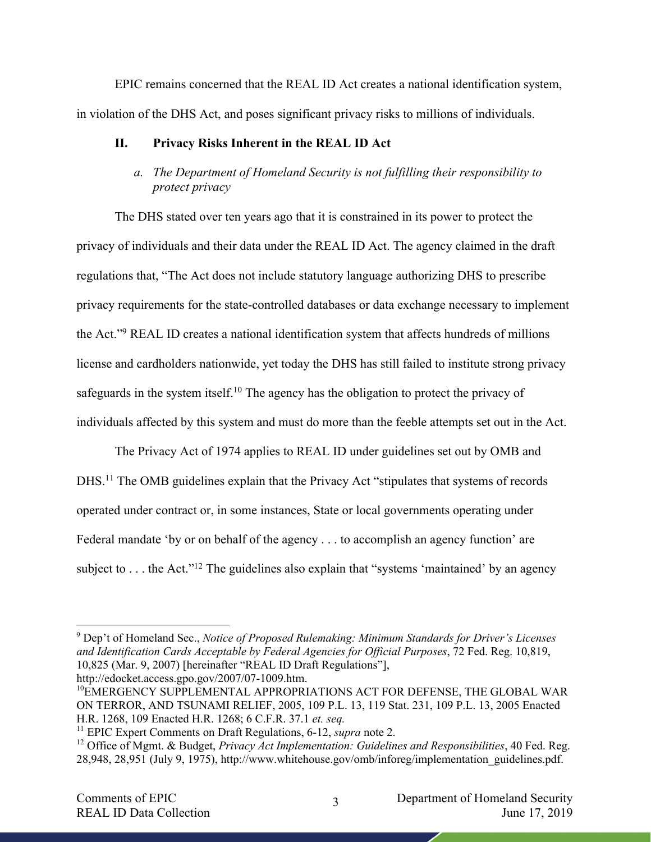EPIC remains concerned that the REAL ID Act creates a national identification system, in violation of the DHS Act, and poses significant privacy risks to millions of individuals.

### **II. Privacy Risks Inherent in the REAL ID Act**

# *a. The Department of Homeland Security is not fulfilling their responsibility to protect privacy*

The DHS stated over ten years ago that it is constrained in its power to protect the privacy of individuals and their data under the REAL ID Act. The agency claimed in the draft regulations that, "The Act does not include statutory language authorizing DHS to prescribe privacy requirements for the state-controlled databases or data exchange necessary to implement the Act."9 REAL ID creates a national identification system that affects hundreds of millions license and cardholders nationwide, yet today the DHS has still failed to institute strong privacy safeguards in the system itself.<sup>10</sup> The agency has the obligation to protect the privacy of individuals affected by this system and must do more than the feeble attempts set out in the Act.

The Privacy Act of 1974 applies to REAL ID under guidelines set out by OMB and DHS.<sup>11</sup> The OMB guidelines explain that the Privacy Act "stipulates that systems of records operated under contract or, in some instances, State or local governments operating under Federal mandate 'by or on behalf of the agency . . . to accomplish an agency function' are subject to  $\dots$  the Act."<sup>12</sup> The guidelines also explain that "systems 'maintained' by an agency

 9 Dep't of Homeland Sec., *Notice of Proposed Rulemaking: Minimum Standards for Driver's Licenses and Identification Cards Acceptable by Federal Agencies for Official Purposes*, 72 Fed. Reg. 10,819, 10,825 (Mar. 9, 2007) [hereinafter "REAL ID Draft Regulations"], http://edocket.access.gpo.gov/2007/07-1009.htm.

<sup>10</sup>EMERGENCY SUPPLEMENTAL APPROPRIATIONS ACT FOR DEFENSE, THE GLOBAL WAR ON TERROR, AND TSUNAMI RELIEF, 2005, 109 P.L. 13, 119 Stat. 231, 109 P.L. 13, 2005 Enacted H.R. 1268, 109 Enacted H.R. 1268; 6 C.F.R. 37.1 *et. seq.*

<sup>&</sup>lt;sup>11</sup> EPIC Expert Comments on Draft Regulations, 6-12, *supra* note 2.

<sup>12</sup> Office of Mgmt. & Budget, *Privacy Act Implementation: Guidelines and Responsibilities*, 40 Fed. Reg. 28,948, 28,951 (July 9, 1975), http://www.whitehouse.gov/omb/inforeg/implementation\_guidelines.pdf.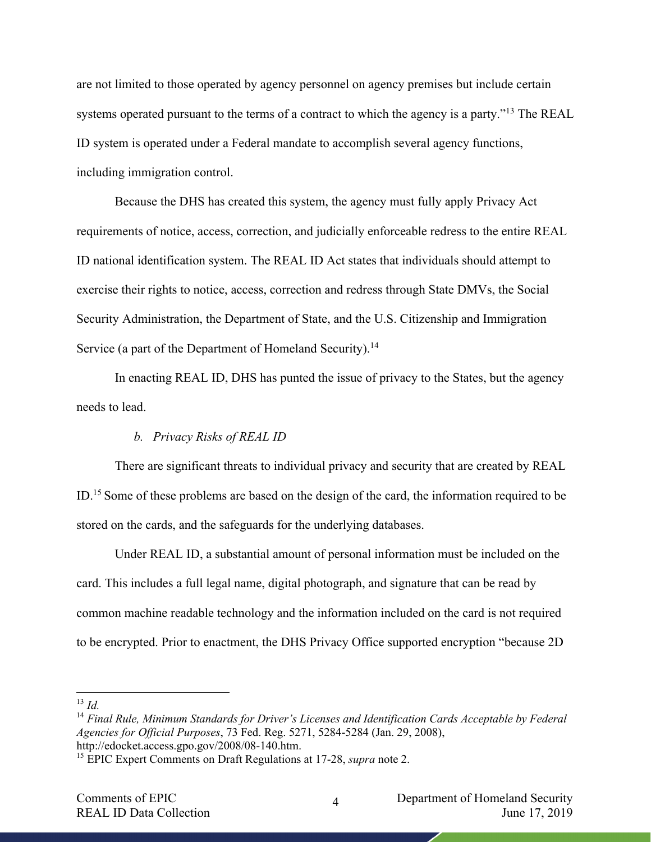are not limited to those operated by agency personnel on agency premises but include certain systems operated pursuant to the terms of a contract to which the agency is a party."<sup>13</sup> The REAL ID system is operated under a Federal mandate to accomplish several agency functions, including immigration control.

Because the DHS has created this system, the agency must fully apply Privacy Act requirements of notice, access, correction, and judicially enforceable redress to the entire REAL ID national identification system. The REAL ID Act states that individuals should attempt to exercise their rights to notice, access, correction and redress through State DMVs, the Social Security Administration, the Department of State, and the U.S. Citizenship and Immigration Service (a part of the Department of Homeland Security).<sup>14</sup>

In enacting REAL ID, DHS has punted the issue of privacy to the States, but the agency needs to lead.

#### *b. Privacy Risks of REAL ID*

There are significant threats to individual privacy and security that are created by REAL ID.<sup>15</sup> Some of these problems are based on the design of the card, the information required to be stored on the cards, and the safeguards for the underlying databases.

Under REAL ID, a substantial amount of personal information must be included on the card. This includes a full legal name, digital photograph, and signature that can be read by common machine readable technology and the information included on the card is not required to be encrypted. Prior to enactment, the DHS Privacy Office supported encryption "because 2D

 <sup>13</sup> *Id.*

<sup>14</sup> *Final Rule, Minimum Standards for Driver's Licenses and Identification Cards Acceptable by Federal Agencies for Official Purposes*, 73 Fed. Reg. 5271, 5284-5284 (Jan. 29, 2008), http://edocket.access.gpo.gov/2008/08-140.htm.

<sup>15</sup> EPIC Expert Comments on Draft Regulations at 17-28, *supra* note 2.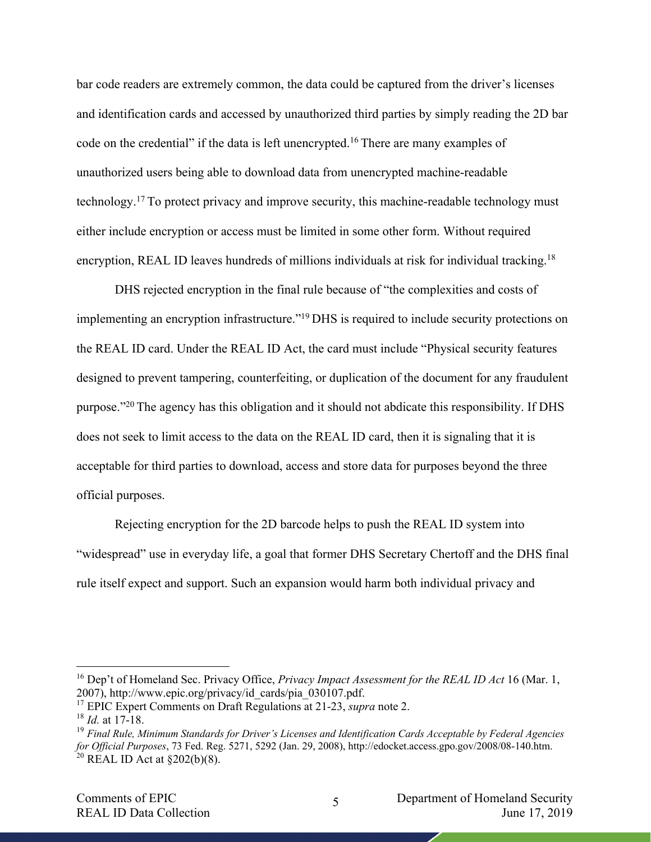bar code readers are extremely common, the data could be captured from the driver's licenses and identification cards and accessed by unauthorized third parties by simply reading the 2D bar code on the credential" if the data is left unencrypted.<sup>16</sup> There are many examples of unauthorized users being able to download data from unencrypted machine-readable technology.17 To protect privacy and improve security, this machine-readable technology must either include encryption or access must be limited in some other form. Without required encryption, REAL ID leaves hundreds of millions individuals at risk for individual tracking.<sup>18</sup>

DHS rejected encryption in the final rule because of "the complexities and costs of implementing an encryption infrastructure."19 DHS is required to include security protections on the REAL ID card. Under the REAL ID Act, the card must include "Physical security features designed to prevent tampering, counterfeiting, or duplication of the document for any fraudulent purpose."20 The agency has this obligation and it should not abdicate this responsibility. If DHS does not seek to limit access to the data on the REAL ID card, then it is signaling that it is acceptable for third parties to download, access and store data for purposes beyond the three official purposes.

Rejecting encryption for the 2D barcode helps to push the REAL ID system into "widespread" use in everyday life, a goal that former DHS Secretary Chertoff and the DHS final rule itself expect and support. Such an expansion would harm both individual privacy and

 <sup>16</sup> Dep't of Homeland Sec. Privacy Office, *Privacy Impact Assessment for the REAL ID Act* <sup>16</sup> (Mar. 1, 2007), http://www.epic.org/privacy/id\_cards/pia\_030107.pdf.

<sup>17</sup> EPIC Expert Comments on Draft Regulations at 21-23, *supra* note 2.

<sup>18</sup> *Id.* at 17-18.

<sup>19</sup> *Final Rule, Minimum Standards for Driver's Licenses and Identification Cards Acceptable by Federal Agencies for Official Purposes*, 73 Fed. Reg. 5271, 5292 (Jan. 29, 2008), http://edocket.access.gpo.gov/2008/08-140.htm. <sup>20</sup> REAL ID Act at  $\S 202(b)(8)$ .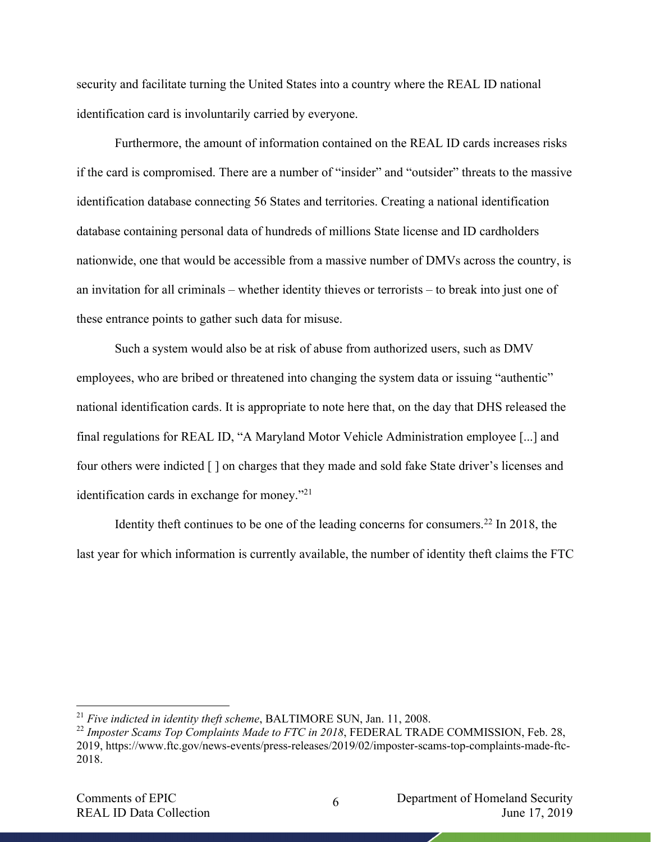security and facilitate turning the United States into a country where the REAL ID national identification card is involuntarily carried by everyone.

Furthermore, the amount of information contained on the REAL ID cards increases risks if the card is compromised. There are a number of "insider" and "outsider" threats to the massive identification database connecting 56 States and territories. Creating a national identification database containing personal data of hundreds of millions State license and ID cardholders nationwide, one that would be accessible from a massive number of DMVs across the country, is an invitation for all criminals – whether identity thieves or terrorists – to break into just one of these entrance points to gather such data for misuse.

Such a system would also be at risk of abuse from authorized users, such as DMV employees, who are bribed or threatened into changing the system data or issuing "authentic" national identification cards. It is appropriate to note here that, on the day that DHS released the final regulations for REAL ID, "A Maryland Motor Vehicle Administration employee [...] and four others were indicted [ ] on charges that they made and sold fake State driver's licenses and identification cards in exchange for money."21

Identity theft continues to be one of the leading concerns for consumers.<sup>22</sup> In 2018, the last year for which information is currently available, the number of identity theft claims the FTC

 <sup>21</sup> *Five indicted in identity theft scheme*, BALTIMORE SUN, Jan. 11, 2008.

<sup>&</sup>lt;sup>22</sup> Imposter Scams Top Complaints Made to FTC in 2018, FEDERAL TRADE COMMISSION, Feb. 28, 2019, https://www.ftc.gov/news-events/press-releases/2019/02/imposter-scams-top-complaints-made-ftc-2018.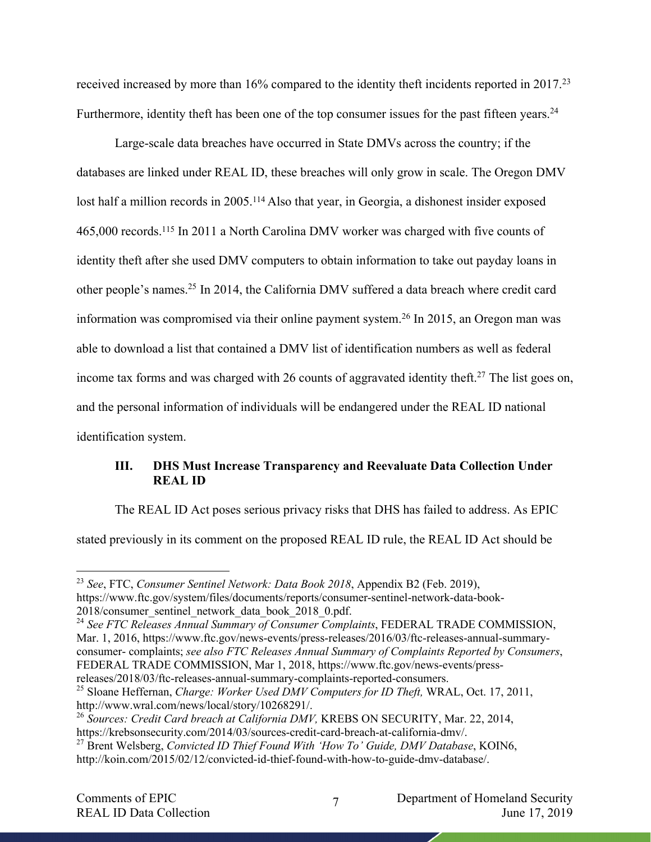received increased by more than 16% compared to the identity theft incidents reported in 2017.<sup>23</sup> Furthermore, identity theft has been one of the top consumer issues for the past fifteen years.<sup>24</sup>

Large-scale data breaches have occurred in State DMVs across the country; if the databases are linked under REAL ID, these breaches will only grow in scale. The Oregon DMV lost half a million records in 2005.114 Also that year, in Georgia, a dishonest insider exposed 465,000 records.115 In 2011 a North Carolina DMV worker was charged with five counts of identity theft after she used DMV computers to obtain information to take out payday loans in other people's names.25 In 2014, the California DMV suffered a data breach where credit card information was compromised via their online payment system.26 In 2015, an Oregon man was able to download a list that contained a DMV list of identification numbers as well as federal income tax forms and was charged with 26 counts of aggravated identity theft.<sup>27</sup> The list goes on, and the personal information of individuals will be endangered under the REAL ID national identification system.

# **III. DHS Must Increase Transparency and Reevaluate Data Collection Under REAL ID**

The REAL ID Act poses serious privacy risks that DHS has failed to address. As EPIC

stated previously in its comment on the proposed REAL ID rule, the REAL ID Act should be

 <sup>23</sup> *See*, FTC, *Consumer Sentinel Network: Data Book 2018*, Appendix B2 (Feb. 2019), https://www.ftc.gov/system/files/documents/reports/consumer-sentinel-network-data-book-2018/consumer\_sentinel\_network\_data\_book\_2018\_0.pdf.

<sup>24</sup> *See FTC Releases Annual Summary of Consumer Complaints*, FEDERAL TRADE COMMISSION, Mar. 1, 2016, https://www.ftc.gov/news-events/press-releases/2016/03/ftc-releases-annual-summaryconsumer- complaints; *see also FTC Releases Annual Summary of Complaints Reported by Consumers*, FEDERAL TRADE COMMISSION, Mar 1, 2018, https://www.ftc.gov/news-events/pressreleases/2018/03/ftc-releases-annual-summary-complaints-reported-consumers.

<sup>25</sup> Sloane Heffernan, *Charge: Worker Used DMV Computers for ID Theft,* WRAL, Oct. 17, 2011, http://www.wral.com/news/local/story/10268291/.

<sup>26</sup> *Sources: Credit Card breach at California DMV,* KREBS ON SECURITY, Mar. 22, 2014, https://krebsonsecurity.com/2014/03/sources-credit-card-breach-at-california-dmv/.

<sup>27</sup> Brent Welsberg, *Convicted ID Thief Found With 'How To' Guide, DMV Database*, KOIN6, http://koin.com/2015/02/12/convicted-id-thief-found-with-how-to-guide-dmv-database/.